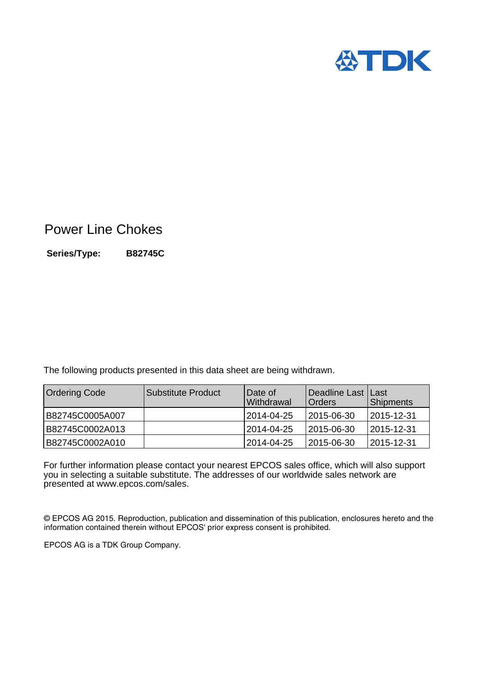

## Power Line Chokes

**Series/Type: B82745C**

The following products presented in this data sheet are being withdrawn.

| <b>Ordering Code</b> | l Substitute Product | IDate of<br><b>Withdrawal</b> | l Deadline Last I Last<br><b>Orders</b> | <b>Shipments</b> |
|----------------------|----------------------|-------------------------------|-----------------------------------------|------------------|
| B82745C0005A007      |                      | 2014-04-25                    | 12015-06-30                             | 12015-12-31      |
| B82745C0002A013      |                      | 2014-04-25                    | 2015-06-30                              | 2015-12-31       |
| B82745C0002A010      |                      | 12014-04-25                   | 2015-06-30                              | 12015-12-31      |

For further information please contact your nearest EPCOS sales office, which will also support you in selecting a suitable substitute. The addresses of our worldwide sales network are presented at www.epcos.com/sales.

© EPCOS AG 2015. Reproduction, publication and dissemination of this publication, enclosures hereto and the information contained therein without EPCOS' prior express consent is prohibited.

EPCOS AG is a TDK Group Company.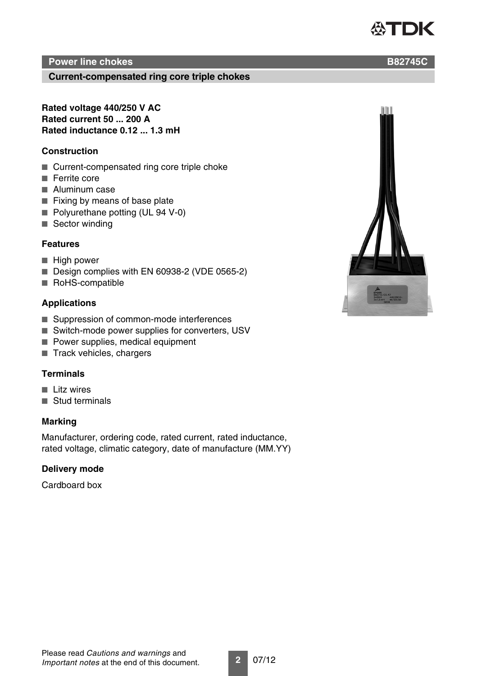#### TDK ÆN

#### **Power line chokes B82745C**

**Current-compensated ring core triple chokes**

**Rated voltage 440/250 V AC Rated current 50 ... 200 A Rated inductance 0.12 ... 1.3 mH**

#### **Construction**

- Current-compensated ring core triple choke
- Ferrite core
- Aluminum case
- Fixing by means of base plate
- Polyurethane potting (UL 94 V-0)
- Sector winding

#### **Features**

- High power
- Design complies with EN 60938-2 (VDE 0565-2)
- RoHS-compatible

#### **Applications**

- Suppression of common-mode interferences
- Switch-mode power supplies for converters, USV
- Power supplies, medical equipment
- Track vehicles, chargers

#### **Terminals**

- Litz wires
- Stud terminals

#### **Marking**

Manufacturer, ordering code, rated current, rated inductance, rated voltage, climatic category, date of manufacture (MM.YY)

#### **Delivery mode**

Cardboard box

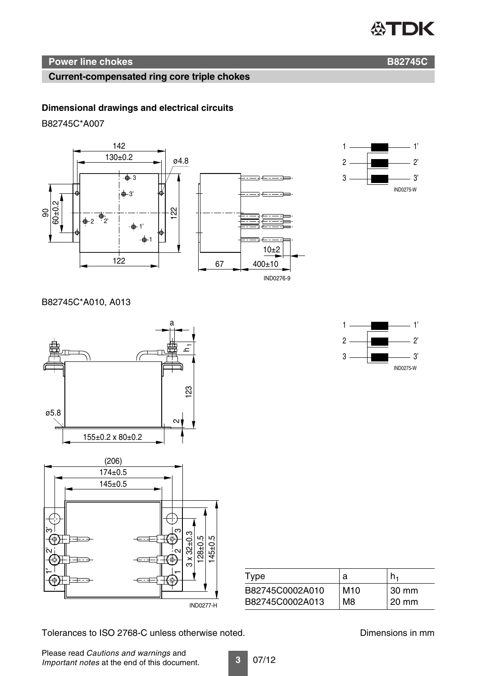# **公TDK**

### **Power line chokes B82745C**

#### **Current-compensated ring core triple chokes**

#### **Dimensional drawings and electrical circuits**

B82745C\*A007





 $1 \longrightarrow$   $1'$  $2 \longrightarrow 2'$  $3 \longrightarrow$  3'

B82745C\*A010, A013



| Type            | а               | h٠    |
|-----------------|-----------------|-------|
| B82745C0002A010 | M <sub>10</sub> | 30 mm |
| B82745C0002A013 | M <sub>8</sub>  | 20 mm |
|                 |                 |       |

Tolerances to ISO 2768-C unless otherwise noted. Dimensions in mm

IND0275-W

Please read *Cautions and warnings* and *Important notes* at the end of this document.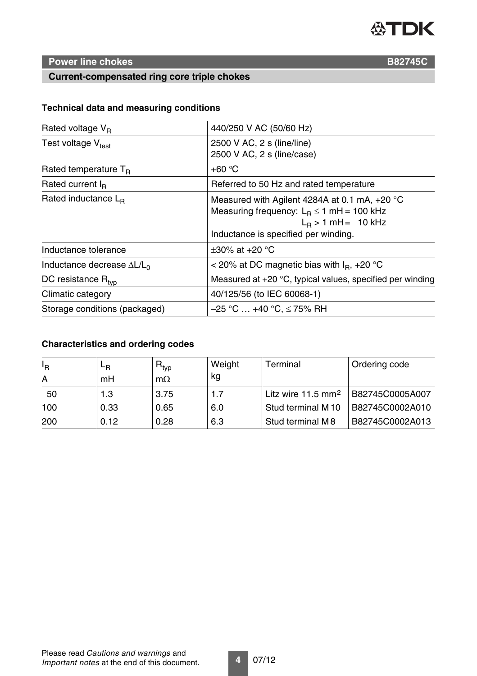

### **Power line chokes B82745C**

#### **Current-compensated ring core triple chokes**

#### **Technical data and measuring conditions**

| Rated voltage $V_R$                | 440/250 V AC (50/60 Hz)                                                                                                                                           |  |  |
|------------------------------------|-------------------------------------------------------------------------------------------------------------------------------------------------------------------|--|--|
| Test voltage $V_{test}$            | 2500 V AC, 2 s (line/line)<br>2500 V AC, 2 s (line/case)                                                                                                          |  |  |
| Rated temperature $T_B$            | $+60 °C$                                                                                                                                                          |  |  |
| Rated current $I_{R}$              | Referred to 50 Hz and rated temperature                                                                                                                           |  |  |
| Rated inductance $L_{B}$           | Measured with Agilent 4284A at 0.1 mA, $+20$ °C<br>Measuring frequency: $L_B \le 1$ mH = 100 kHz<br>$L_B > 1$ mH = 10 kHz<br>Inductance is specified per winding. |  |  |
| Inductance tolerance               | +30% at +20 $^{\circ}$ C                                                                                                                                          |  |  |
| Inductance decrease $\Delta L/L_0$ | < 20% at DC magnetic bias with $I_R$ , +20 °C                                                                                                                     |  |  |
| DC resistance R <sub>tvp</sub>     | Measured at $+20$ °C, typical values, specified per winding                                                                                                       |  |  |
| Climatic category                  | 40/125/56 (to IEC 60068-1)                                                                                                                                        |  |  |
| Storage conditions (packaged)      | $-25$ °C … +40 °C, ≤ 75% RH                                                                                                                                       |  |  |
|                                    |                                                                                                                                                                   |  |  |

### **Characteristics and ordering codes**

| Ι <sub>R</sub> | ⊾в   | $\mathsf{R}_{\mathsf{typ}}$ | Weight | Terminal                       | Ordering code   |
|----------------|------|-----------------------------|--------|--------------------------------|-----------------|
| A              | mH   | $m\Omega$                   | kg     |                                |                 |
| 50             | 1.3  | 3.75                        | 1.7    | Litz wire 11.5 mm <sup>2</sup> | B82745C0005A007 |
| 100            | 0.33 | 0.65                        | 6.0    | Stud terminal M 10             | B82745C0002A010 |
| 200            | 0.12 | 0.28                        | 6.3    | Stud terminal M8               | B82745C0002A013 |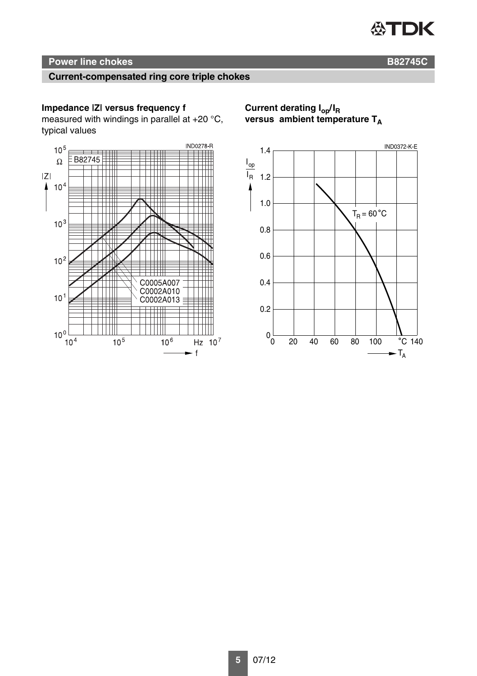## **公TDK**

#### **Power line chokes B82745C**

#### **Current-compensated ring core triple chokes**

#### **Impedance |Z| versus frequency f**

measured with windings in parallel at +20 °C, typical values



**Current derating Iop/IR** versus ambient temperature T<sub>A</sub>

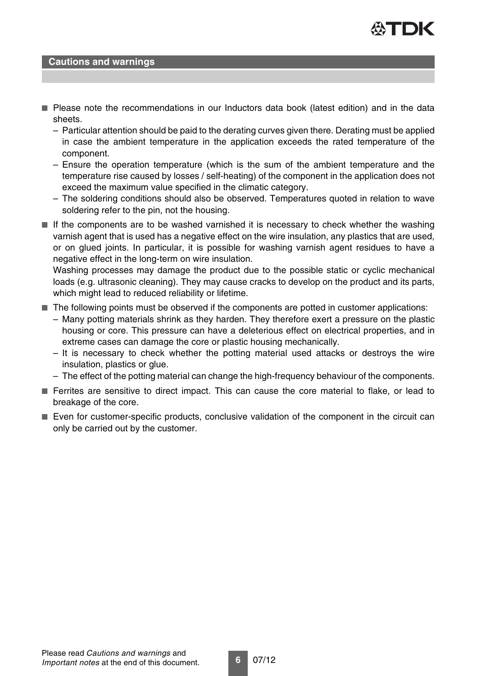

#### **Cautions and warnings**

- Please note the recommendations in our Inductors data book (latest edition) and in the data sheets.
	- Particular attention should be paid to the derating curves given there. Derating must be applied in case the ambient temperature in the application exceeds the rated temperature of the component.
	- Ensure the operation temperature (which is the sum of the ambient temperature and the temperature rise caused by losses / self-heating) of the component in the application does not exceed the maximum value specified in the climatic category.
	- The soldering conditions should also be observed. Temperatures quoted in relation to wave soldering refer to the pin, not the housing.
- If the components are to be washed varnished it is necessary to check whether the washing varnish agent that is used has a negative effect on the wire insulation, any plastics that are used, or on glued joints. In particular, it is possible for washing varnish agent residues to have a negative effect in the long-term on wire insulation.

Washing processes may damage the product due to the possible static or cyclic mechanical loads (e.g. ultrasonic cleaning). They may cause cracks to develop on the product and its parts, which might lead to reduced reliability or lifetime.

- The following points must be observed if the components are potted in customer applications:
	- Many potting materials shrink as they harden. They therefore exert a pressure on the plastic housing or core. This pressure can have a deleterious effect on electrical properties, and in extreme cases can damage the core or plastic housing mechanically.
	- It is necessary to check whether the potting material used attacks or destroys the wire insulation, plastics or glue.
	- The effect of the potting material can change the high-frequency behaviour of the components.
- Ferrites are sensitive to direct impact. This can cause the core material to flake, or lead to breakage of the core.
- Even for customer-specific products, conclusive validation of the component in the circuit can only be carried out by the customer.